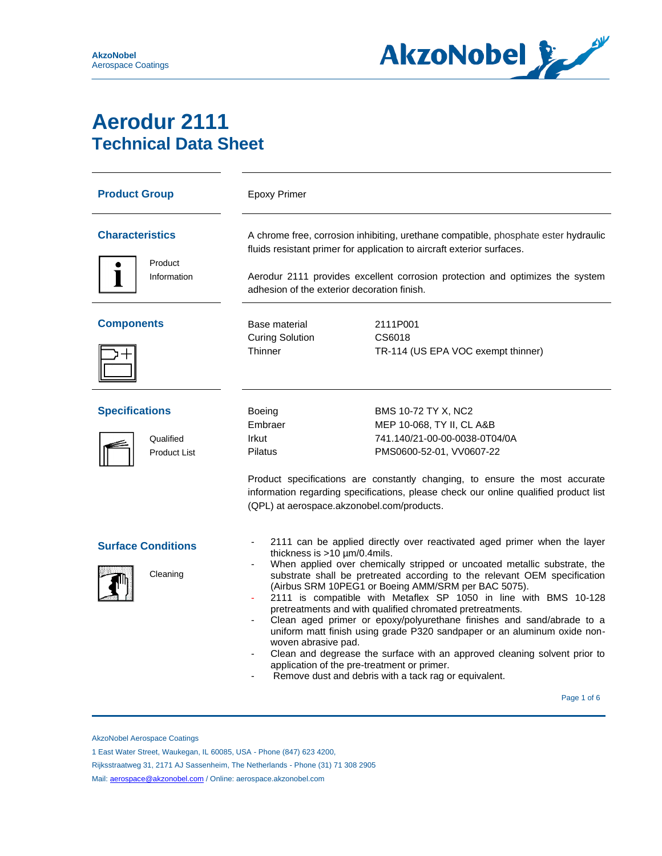

## **Aerodur 2111 Technical Data Sheet**

| <b>Product Group</b>                                      | <b>Epoxy Primer</b>                                                                                                                                                                                                                                                                                                                                                                                                                                                                                                                                                                                                                                                                                                                                                                                                               |                                                                                                               |  |  |
|-----------------------------------------------------------|-----------------------------------------------------------------------------------------------------------------------------------------------------------------------------------------------------------------------------------------------------------------------------------------------------------------------------------------------------------------------------------------------------------------------------------------------------------------------------------------------------------------------------------------------------------------------------------------------------------------------------------------------------------------------------------------------------------------------------------------------------------------------------------------------------------------------------------|---------------------------------------------------------------------------------------------------------------|--|--|
| <b>Characteristics</b><br>Product                         | A chrome free, corrosion inhibiting, urethane compatible, phosphate ester hydraulic<br>fluids resistant primer for application to aircraft exterior surfaces.<br>Aerodur 2111 provides excellent corrosion protection and optimizes the system<br>adhesion of the exterior decoration finish.                                                                                                                                                                                                                                                                                                                                                                                                                                                                                                                                     |                                                                                                               |  |  |
| Information                                               |                                                                                                                                                                                                                                                                                                                                                                                                                                                                                                                                                                                                                                                                                                                                                                                                                                   |                                                                                                               |  |  |
| <b>Components</b>                                         | Base material<br><b>Curing Solution</b><br>Thinner                                                                                                                                                                                                                                                                                                                                                                                                                                                                                                                                                                                                                                                                                                                                                                                | 2111P001<br>CS6018<br>TR-114 (US EPA VOC exempt thinner)                                                      |  |  |
| <b>Specifications</b><br>Qualified<br><b>Product List</b> | Boeing<br>Embraer<br>Irkut<br>Pilatus                                                                                                                                                                                                                                                                                                                                                                                                                                                                                                                                                                                                                                                                                                                                                                                             | BMS 10-72 TY X, NC2<br>MEP 10-068, TY II, CL A&B<br>741.140/21-00-00-0038-0T04/0A<br>PMS0600-52-01, VV0607-22 |  |  |
|                                                           | Product specifications are constantly changing, to ensure the most accurate<br>information regarding specifications, please check our online qualified product list<br>(QPL) at aerospace.akzonobel.com/products.                                                                                                                                                                                                                                                                                                                                                                                                                                                                                                                                                                                                                 |                                                                                                               |  |  |
| <b>Surface Conditions</b><br>Cleaning                     | 2111 can be applied directly over reactivated aged primer when the layer<br>thickness is $>10 \mu m/0.4$ mils.<br>When applied over chemically stripped or uncoated metallic substrate, the<br>substrate shall be pretreated according to the relevant OEM specification<br>(Airbus SRM 10PEG1 or Boeing AMM/SRM per BAC 5075).<br>2111 is compatible with Metaflex SP 1050 in line with BMS 10-128<br>pretreatments and with qualified chromated pretreatments.<br>Clean aged primer or epoxy/polyurethane finishes and sand/abrade to a<br>uniform matt finish using grade P320 sandpaper or an aluminum oxide non-<br>woven abrasive pad.<br>Clean and degrease the surface with an approved cleaning solvent prior to<br>application of the pre-treatment or primer.<br>Remove dust and debris with a tack rag or equivalent. |                                                                                                               |  |  |

Page 1 of 6  $\sim$  9  $\sim$  9  $\sim$  9  $\sim$  9  $\sim$  9  $\sim$  9  $\sim$  9  $\sim$  9  $\sim$  6  $\sim$  9  $\sim$  9  $\sim$  6  $\sim$ 

AkzoNobel Aerospace Coatings

Rijksstraatweg 31, 2171 AJ Sassenheim, The Netherlands - Phone (31) 71 308 2905

<sup>1</sup> East Water Street, Waukegan, IL 60085, USA - Phone (847) 623 4200,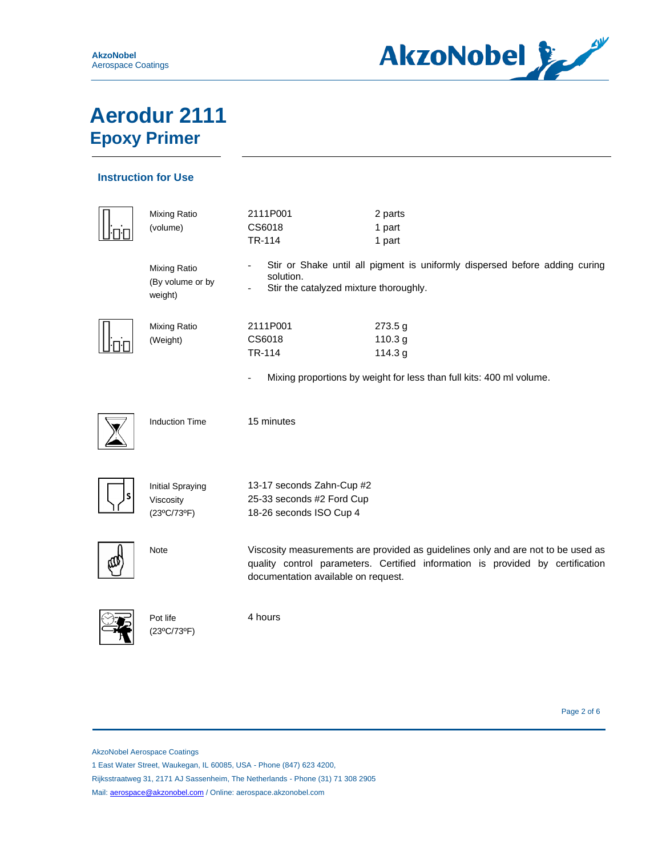

### **Instruction for Use**

| <b>Mixing Ratio</b><br>(volume)                     | 2111P001<br>CS6018<br>TR-114                                                                                                                                                                              | 2 parts<br>1 part<br>1 part                                                 |
|-----------------------------------------------------|-----------------------------------------------------------------------------------------------------------------------------------------------------------------------------------------------------------|-----------------------------------------------------------------------------|
| Mixing Ratio<br>(By volume or by<br>weight)         | solution.<br>Stir the catalyzed mixture thoroughly.                                                                                                                                                       | Stir or Shake until all pigment is uniformly dispersed before adding curing |
| Mixing Ratio<br>(Weight)                            | 2111P001<br>CS6018<br>TR-114                                                                                                                                                                              | 273.5 g<br>110.3 g<br>114.3 g                                               |
|                                                     |                                                                                                                                                                                                           | Mixing proportions by weight for less than full kits: 400 ml volume.        |
| <b>Induction Time</b>                               | 15 minutes                                                                                                                                                                                                |                                                                             |
| <b>Initial Spraying</b><br>Viscosity<br>(23°C/73°F) | 13-17 seconds Zahn-Cup #2<br>25-33 seconds #2 Ford Cup<br>18-26 seconds ISO Cup 4                                                                                                                         |                                                                             |
| <b>Note</b>                                         | Viscosity measurements are provided as guidelines only and are not to be used as<br>quality control parameters. Certified information is provided by certification<br>documentation available on request. |                                                                             |
| Pot life<br>(23°C/73°F)                             | 4 hours                                                                                                                                                                                                   |                                                                             |

Page 2 of 6

AkzoNobel Aerospace Coatings

π

1 East Water Street, Waukegan, IL 60085, USA - Phone (847) 623 4200,

Rijksstraatweg 31, 2171 AJ Sassenheim, The Netherlands - Phone (31) 71 308 2905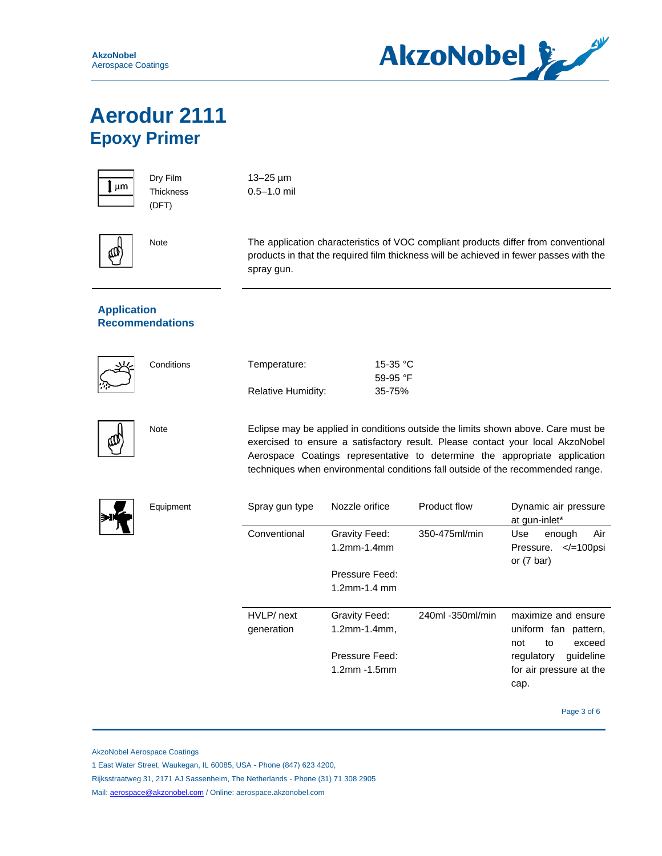

| l | ւm |
|---|----|
|   |    |

Dry Film **Thickness** (DFT)

13–25 µm 0.5–1.0 mil



Note The application characteristics of VOC compliant products differ from conventional products in that the required film thickness will be achieved in fewer passes with the spray gun.

#### **Application Recommendations**

**Conditions** 

| Temperature:       | 15-35 °C          |
|--------------------|-------------------|
|                    | 59-95 $\degree$ F |
| Relative Humidity: | 35-75%            |

Note Eclipse may be applied in conditions outside the limits shown above. Care must be exercised to ensure a satisfactory result. Please contact your local AkzoNobel Aerospace Coatings representative to determine the appropriate application techniques when environmental conditions fall outside of the recommended range.



| Spray gun type           | Nozzle orifice                      | Product flow     | Dynamic air pressure<br>at gun-inlet*                                       |
|--------------------------|-------------------------------------|------------------|-----------------------------------------------------------------------------|
| Conventional             | Gravity Feed:<br>$1.2$ mm- $1.4$ mm | 350-475ml/min    | Use<br>Air<br>enough<br>$\le$ /=100psi<br>Pressure.<br>or $(7 \text{ bar})$ |
|                          | Pressure Feed:                      |                  |                                                                             |
|                          | $1.2$ mm-1.4 mm                     |                  |                                                                             |
| HVLP/ next<br>generation | Gravity Feed:<br>1.2mm-1.4mm,       | 240ml -350ml/min | maximize and ensure<br>uniform fan pattern,<br>exceed<br>to<br>not          |
|                          | Pressure Feed:                      |                  | guideline<br>regulatory                                                     |
|                          | 1.2mm -1.5mm                        |                  | for air pressure at the<br>cap.                                             |
|                          |                                     |                  |                                                                             |

Page 3 of 6

AkzoNobel Aerospace Coatings

1 East Water Street, Waukegan, IL 60085, USA - Phone (847) 623 4200,

Rijksstraatweg 31, 2171 AJ Sassenheim, The Netherlands - Phone (31) 71 308 2905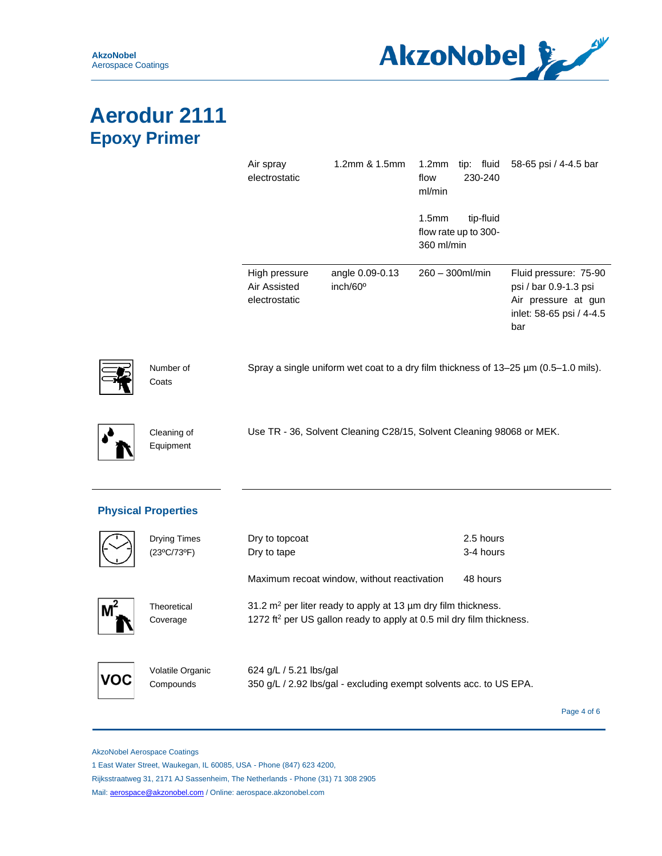

|                    | Air spray<br>electrostatic                                           | 1.2mm & 1.5mm                           | 1.2 <sub>mm</sub><br>tip: fluid<br>230-240<br>flow<br>ml/min         | 58-65 psi / 4-4.5 bar                                                                                    |
|--------------------|----------------------------------------------------------------------|-----------------------------------------|----------------------------------------------------------------------|----------------------------------------------------------------------------------------------------------|
|                    |                                                                      |                                         | 1.5 <sub>mm</sub><br>tip-fluid<br>flow rate up to 300-<br>360 ml/min |                                                                                                          |
|                    | High pressure<br>Air Assisted<br>electrostatic                       | angle 0.09-0.13<br>inch/60 <sup>o</sup> | $260 - 300$ ml/min                                                   | Fluid pressure: 75-90<br>psi / bar 0.9-1.3 psi<br>Air pressure at gun<br>inlet: 58-65 psi / 4-4.5<br>bar |
| Number of<br>Coats |                                                                      |                                         |                                                                      | Spray a single uniform wet coat to a dry film thickness of $13-25$ µm (0.5-1.0 mils).                    |
| Cleaning of        | Use TR - 36, Solvent Cleaning C28/15, Solvent Cleaning 98068 or MEK. |                                         |                                                                      |                                                                                                          |



Equipment

|            | <b>Drying Times</b><br>(23°C/73°F) | Dry to topcoat<br>Dry to tape                                                                                                                             | 2.5 hours<br>3-4 hours |             |
|------------|------------------------------------|-----------------------------------------------------------------------------------------------------------------------------------------------------------|------------------------|-------------|
|            |                                    | Maximum recoat window, without reactivation                                                                                                               | 48 hours               |             |
|            | Theoretical<br>Coverage            | 31.2 $m^2$ per liter ready to apply at 13 $\mu$ m dry film thickness.<br>1272 ft <sup>2</sup> per US gallon ready to apply at 0.5 mil dry film thickness. |                        |             |
| <b>VOL</b> | Volatile Organic<br>Compounds      | 624 g/L / 5.21 lbs/gal<br>350 g/L / 2.92 lbs/gal - excluding exempt solvents acc. to US EPA.                                                              |                        |             |
|            |                                    |                                                                                                                                                           |                        | Page 4 of 6 |

AkzoNobel Aerospace Coatings

1 East Water Street, Waukegan, IL 60085, USA - Phone (847) 623 4200,

Rijksstraatweg 31, 2171 AJ Sassenheim, The Netherlands - Phone (31) 71 308 2905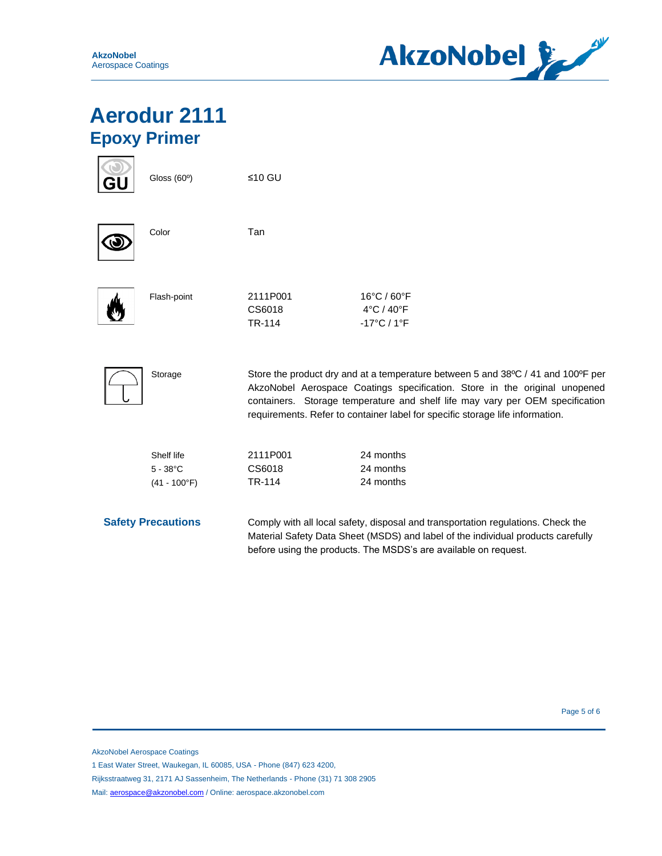

|                           | Gloss (60°)                                         | ≤10 GU                                                                                                                                                                                                                                                                                                                           |                                                                                                                                                                                                                                         |
|---------------------------|-----------------------------------------------------|----------------------------------------------------------------------------------------------------------------------------------------------------------------------------------------------------------------------------------------------------------------------------------------------------------------------------------|-----------------------------------------------------------------------------------------------------------------------------------------------------------------------------------------------------------------------------------------|
|                           | Color                                               | Tan                                                                                                                                                                                                                                                                                                                              |                                                                                                                                                                                                                                         |
|                           | Flash-point                                         | 2111P001<br>CS6018<br><b>TR-114</b>                                                                                                                                                                                                                                                                                              | 16°C / 60°F<br>4°C / 40°F<br>$-17^{\circ}$ C / 1 $^{\circ}$ F                                                                                                                                                                           |
|                           | Storage                                             | Store the product dry and at a temperature between 5 and 38°C / 41 and 100°F per<br>AkzoNobel Aerospace Coatings specification. Store in the original unopened<br>containers. Storage temperature and shelf life may vary per OEM specification<br>requirements. Refer to container label for specific storage life information. |                                                                                                                                                                                                                                         |
|                           | Shelf life<br>$5 - 38^{\circ}$ C<br>$(41 - 100$ °F) | 2111P001<br>CS6018<br>TR-114                                                                                                                                                                                                                                                                                                     | 24 months<br>24 months<br>24 months                                                                                                                                                                                                     |
| <b>Safety Precautions</b> |                                                     |                                                                                                                                                                                                                                                                                                                                  | Comply with all local safety, disposal and transportation regulations. Check the<br>Material Safety Data Sheet (MSDS) and label of the individual products carefully<br>before using the products. The MSDS's are available on request. |

Page 5 of 6

AkzoNobel Aerospace Coatings

1 East Water Street, Waukegan, IL 60085, USA - Phone (847) 623 4200,

Rijksstraatweg 31, 2171 AJ Sassenheim, The Netherlands - Phone (31) 71 308 2905